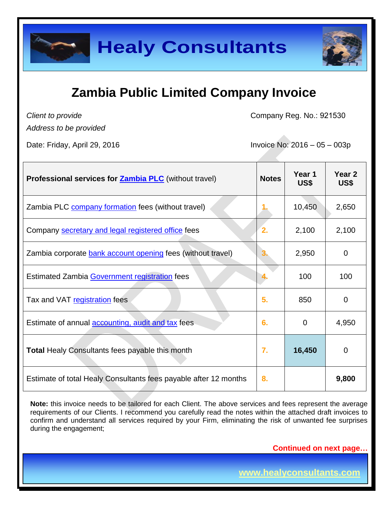

*Client to provide*

Company Reg. No.: 921530

*Address to be provided*

Date: Friday, April 29, 2016 Invoice No: 2016 – 05 – 003p

| <b>Professional services for Zambia PLC</b> (without travel)     | <b>Notes</b> | Year 1<br>US\$ | Year <sub>2</sub><br>US\$ |
|------------------------------------------------------------------|--------------|----------------|---------------------------|
| Zambia PLC company formation fees (without travel)               |              | 10,450         | 2,650                     |
| Company secretary and legal registered office fees               | 2.           | 2,100          | 2,100                     |
| Zambia corporate bank account opening fees (without travel)      |              | 2,950          | 0                         |
| Estimated Zambia Government registration fees                    |              | 100            | 100                       |
| Tax and VAT registration fees                                    | 5.           | 850            | $\overline{0}$            |
| Estimate of annual <b>accounting</b> , audit and tax fees        | 6.           | 0              | 4,950                     |
| Total Healy Consultants fees payable this month                  | 7.           | 16,450         | 0                         |
| Estimate of total Healy Consultants fees payable after 12 months | 8.           |                | 9,800                     |

Note: this invoice needs to be tailored for each Client. The above services and fees represent the average requirements of our Clients. I recommend you carefully read the notes within the attached draft invoices to confirm and understand all services required by your Firm, eliminating the risk of unwanted fee surprises during the engagement;

**Continued on next page…**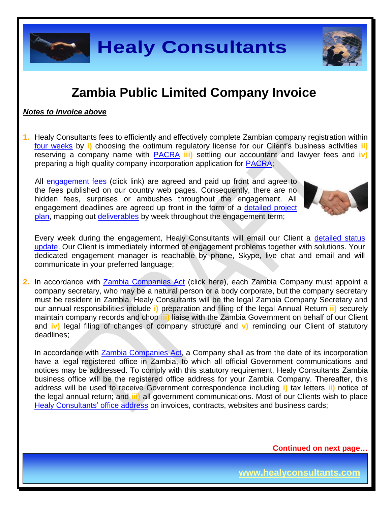

#### *Notes to invoice above*

**1.** Healy Consultants fees to efficiently and effectively complete Zambian company registration within [four weeks](http://www.healyconsultants.com/zambia-company-registration/fees-timelines/#timelines) by **i)** choosing the optimum regulatory license for our Client's business activities **ii)** reserving a company name with [PACRA](http://www.pacra.org.zm/) **iii)** settling our accountant and lawyer fees and **iv)** preparing a high quality company incorporation application for [PACRA;](http://www.pacra.org.zm/)

All [engagement fees](http://www.healyconsultants.com/company-registration-fees/) (click link) are agreed and paid up front and agree to the fees published on our country web pages. Consequently, there are no hidden fees, surprises or ambushes throughout the engagement. All engagement deadlines are agreed up front in the form of a [detailed project](http://www.healyconsultants.com/index-important-links/example-project-plan/)  [plan,](http://www.healyconsultants.com/index-important-links/example-project-plan/) mapping out [deliverables](http://www.healyconsultants.com/deliverables-to-our-clients/) by week throughout the engagement term;



Every week during the engagement, Healy Consultants will email our Client a detailed status [update.](http://www.healyconsultants.com/index-important-links/weekly-engagement-status-email/) Our Client is immediately informed of engagement problems together with solutions. Your dedicated engagement manager is reachable by phone, Skype, live chat and email and will communicate in your preferred language;

**2.** In accordance with **Zambia Companies Act** (click here), each Zambia Company must appoint a company secretary, who may be a natural person or a body corporate, but the company secretary must be resident in Zambia. Healy Consultants will be the legal Zambia Company Secretary and our annual responsibilities include **i)** preparation and filing of the legal Annual Return **ii)** securely maintain company records and chop **iii)** liaise with the Zambia Government on behalf of our Client and **iv)** legal filing of changes of company structure and **v)** reminding our Client of statutory deadlines;

In accordance with [Zambia Companies Act,](http://www.zamlii.org/zm/legislation/consolidated-act/388) a Company shall as from the date of its incorporation have a legal registered office in Zambia, to which all official Government communications and notices may be addressed. To comply with this statutory requirement, Healy Consultants Zambia business office will be the registered office address for your Zambia Company. Thereafter, this address will be used to receive Government correspondence including **i)** tax letters **ii)** notice of the legal annual return; and **iii)** all government communications. Most of our Clients wish to place [Healy Consultants'](http://www.healyconsultants.com/corporate-outsourcing-services/company-secretary-and-legal-registered-office/) office address on invoices, contracts, websites and business cards;

**Continued on next page…**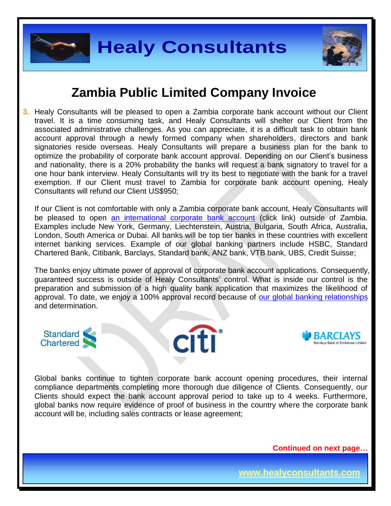

**3.** Healy Consultants will be pleased to open a Zambia corporate bank account without our Client travel. It is a time consuming task, and Healy Consultants will shelter our Client from the associated administrative challenges. As you can appreciate, it is a difficult task to obtain bank account approval through a newly formed company when shareholders, directors and bank signatories reside overseas. Healy Consultants will prepare a business plan for the bank to optimize the probability of corporate bank account approval. Depending on our Client's business and nationality, there is a 20% probability the banks will request a bank signatory to travel for a one hour bank interview. Healy Consultants will try its best to negotiate with the bank for a travel exemption. If our Client must travel to Zambia for corporate bank account opening, Healy Consultants will refund our Client US\$950;

If our Client is not comfortable with only a Zambia corporate bank account, Healy Consultants will be pleased to open [an international corporate bank account](http://www.healyconsultants.com/international-banking/) (click link) outside of Zambia. Examples include New York, Germany, Liechtenstein, Austria, Bulgaria, South Africa, Australia, London, South America or Dubai. All banks will be top tier banks in these countries with excellent internet banking services. Example of our global banking partners include HSBC, Standard Chartered Bank, Citibank, Barclays, Standard bank, ANZ bank, VTB bank, UBS, Credit Suisse;

The banks enjoy ultimate power of approval of corporate bank account applications. Consequently, guaranteed success is outside of Healy Consultants' control. What is inside our control is the preparation and submission of a high quality bank application that maximizes the likelihood of approval. To date, we enjoy a 100% approval record because of [our global banking relationships](http://www.healyconsultants.com/international-banking/corporate-accounts/) and determination.







Global banks continue to tighten corporate bank account opening procedures, their internal compliance departments completing more thorough due diligence of Clients. Consequently, our Clients should expect the bank account approval period to take up to 4 weeks. Furthermore, global banks now require evidence of proof of business in the country where the corporate bank account will be, including sales contracts or lease agreement;

**Continued on next page…**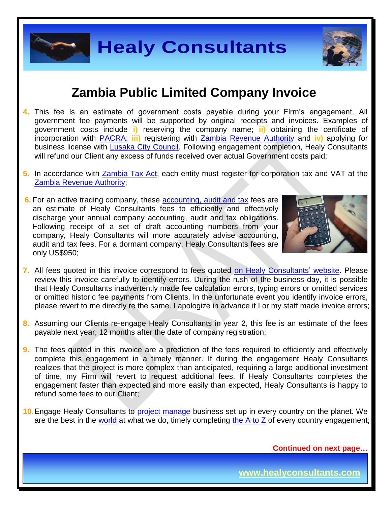

#### **Zambia Public Limited Company Invoice**

- **4.** This fee is an estimate of government costs payable during your Firm's engagement. All government fee payments will be supported by original receipts and invoices. Examples of government costs include **i)** reserving the company name; **ii)** obtaining the certificate of incorporation with [PACRA;](http://www.pacra.org.zm/) **iii)** registering with [Zambia Revenue Authority](https://www.zra.org.zm/) and **iv)** applying for business license with **Lusaka City Council**. Following engagement completion, Healy Consultants will refund our Client any excess of funds received over actual Government costs paid;
- **5.** In accordance with [Zambia Tax Act,](https://track.unodc.org/LegalLibrary/LegalResources/Zambia/Laws/Zambia%20Income%20Tax%20Act%201967%20%28as%20amended%202006%29.pdf) each entity must register for corporation tax and VAT at the [Zambia Revenue Authority;](https://www.zra.org.zm/)
- **6.** For an active trading company, these **accounting**, audit and tax fees are an estimate of Healy Consultants fees to efficiently and effectively discharge your annual company accounting, audit and tax obligations. Following receipt of a set of draft accounting numbers from your company, Healy Consultants will more accurately advise accounting, audit and tax fees. For a dormant company, Healy Consultants fees are only US\$950;



- **7.** All fees quoted in this invoice correspond to fees quoted [on Healy Consultants' website.](http://www.healyconsultants.com/company-registration-fees/) Please review this invoice carefully to identify errors. During the rush of the business day, it is possible that Healy Consultants inadvertently made fee calculation errors, typing errors or omitted services or omitted historic fee payments from Clients. In the unfortunate event you identify invoice errors, please revert to me directly re the same. I apologize in advance if I or my staff made invoice errors;
- **8.** Assuming our Clients re-engage Healy Consultants in year 2, this fee is an estimate of the fees payable next year, 12 months after the date of company registration;
- **9.** The fees quoted in this invoice are a prediction of the fees required to efficiently and effectively complete this engagement in a timely manner. If during the engagement Healy Consultants realizes that the project is more complex than anticipated, requiring a large additional investment of time, my Firm will revert to request additional fees. If Healy Consultants completes the engagement faster than expected and more easily than expected, Healy Consultants is happy to refund some fees to our Client;
- **10.**Engage Healy Consultants to [project manage](http://www.healyconsultants.com/project-manage-engagements/) business set up in every country on the planet. We are the best in the [world](http://www.healyconsultants.com/best-in-the-world/) at what we do, timely completing the  $A$  to  $Z$  of every country engagement;

**Continued on next page…**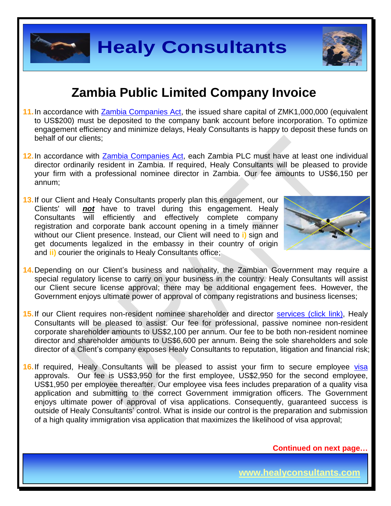

- 11. In accordance with [Zambia Companies Act,](http://www.parliament.gov.zm/downloads/VOLUME%2021.pdf) the issued share capital of ZMK1,000,000 (equivalent to US\$200) must be deposited to the company bank account before incorporation. To optimize engagement efficiency and minimize delays, Healy Consultants is happy to deposit these funds on behalf of our clients;
- **12.**In accordance with [Zambia Companies Act,](http://www.parliament.gov.zm/downloads/VOLUME%2021.pdf) each Zambia PLC must have at least one individual director ordinarily resident in Zambia. If required, Healy Consultants will be pleased to provide your firm with a professional nominee director in Zambia. Our fee amounts to US\$6,150 per annum;
- **13.**If our Client and Healy Consultants properly plan this engagement, our Clients' will *not* have to travel during this engagement. Healy Consultants will efficiently and effectively complete company registration and corporate bank account opening in a timely manner without our Client presence. Instead, our Client will need to **i)** sign and get documents legalized in the embassy in their country of origin and **ii)** courier the originals to Healy Consultants office;



- **14.**Depending on our Client's business and nationality, the Zambian Government may require a special regulatory license to carry on your business in the country. Healy Consultants will assist our Client secure license approval; there may be additional engagement fees. However, the Government enjoys ultimate power of approval of company registrations and business licenses;
- 15. If our Client requires non-resident nominee shareholder and director services [\(click link\),](http://www.healyconsultants.com/corporate-outsourcing-services/nominee-shareholders-directors/) Healy Consultants will be pleased to assist. Our fee for professional, passive nominee non-resident corporate shareholder amounts to US\$2,100 per annum. Our fee to be both non-resident nominee director and shareholder amounts to US\$6,600 per annum. Being the sole shareholders and sole director of a Client's company exposes Healy Consultants to reputation, litigation and financial risk;
- 16. If required, Healy Consultants will be pleased to assist your firm to secure employee [visa](http://www.healyconsultants.com/migration/) approvals. Our fee is US\$3,950 for the first employee, US\$2,950 for the second employee, US\$1,950 per employee thereafter. Our employee visa fees includes preparation of a quality visa application and submitting to the correct Government immigration officers. The Government enjoys ultimate power of approval of visa applications. Consequently, guaranteed success is outside of Healy Consultants' control. What is inside our control is the preparation and submission of a high quality immigration visa application that maximizes the likelihood of visa approval;

**Continued on next page…**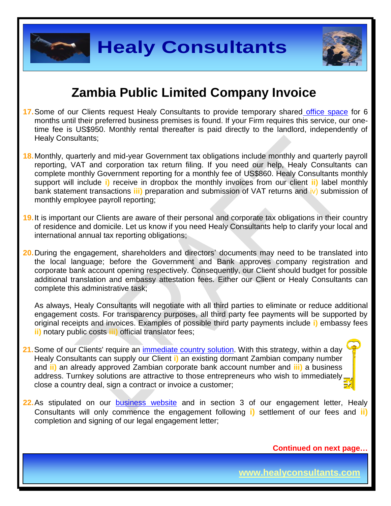



### **Zambia Public Limited Company Invoice**

- **17.** Some of our Clients request Healy Consultants to provide temporary shared [office space](http://www.healyconsultants.com/virtual-office/) for 6 months until their preferred business premises is found. If your Firm requires this service, our onetime fee is US\$950. Monthly rental thereafter is paid directly to the landlord, independently of Healy Consultants;
- **18.**Monthly, quarterly and mid-year Government tax obligations include monthly and quarterly payroll reporting, VAT and corporation tax return filing. If you need our help, Healy Consultants can complete monthly Government reporting for a monthly fee of US\$860. Healy Consultants monthly support will include **i)** receive in dropbox the monthly invoices from our client **ii)** label monthly bank statement transactions **iii)** preparation and submission of VAT returns and iv) submission of monthly employee payroll reporting;
- **19.**It is important our Clients are aware of their personal and corporate tax obligations in their country of residence and domicile. Let us know if you need Healy Consultants help to clarify your local and international annual tax reporting obligations;
- **20.**During the engagement, shareholders and directors' documents may need to be translated into the local language; before the Government and Bank approves company registration and corporate bank account opening respectively. Consequently, our Client should budget for possible additional translation and embassy attestation fees. Either our Client or Healy Consultants can complete this administrative task;

As always, Healy Consultants will negotiate with all third parties to eliminate or reduce additional engagement costs. For transparency purposes, all third party fee payments will be supported by original receipts and invoices. Examples of possible third party payments include **i)** embassy fees **ii)** notary public costs **iii)** official translator fees;

- **21.**Some of our Clients' require an [immediate country](http://www.healyconsultants.com/turnkey-solutions/) solution. With this strategy, within a day Healy Consultants can supply our Client **i)** an existing dormant Zambian company number and **ii)** an already approved Zambian corporate bank account number and **iii)** a business address. Turnkey solutions are attractive to those entrepreneurs who wish to immediately close a country deal, sign a contract or invoice a customer;
- **22.** As stipulated on our **business** website and in section 3 of our engagement letter, Healy Consultants will only commence the engagement following **i)** settlement of our fees and **ii)** completion and signing of our legal engagement letter;

**Continued on next page…**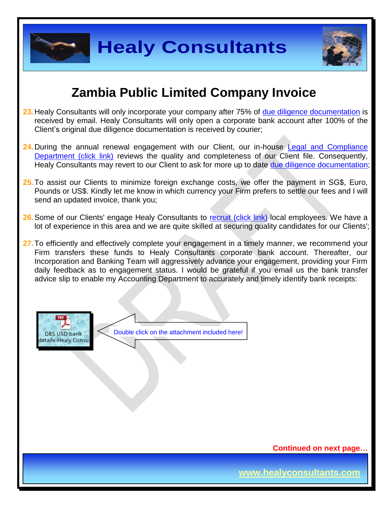



### **Zambia Public Limited Company Invoice**

- 23. Healy Consultants will only incorporate your company after 75% of [due diligence documentation](http://www.healyconsultants.com/due-diligence/) is received by email. Healy Consultants will only open a corporate bank account after 100% of the Client's original due diligence documentation is received by courier;
- 24. During the annual renewal engagement with our Client, our in-house Legal and Compliance [Department \(click link\)](http://www.healyconsultants.com/about-us/key-personnel/cai-xin-profile/) reviews the quality and completeness of our Client file. Consequently, Healy Consultants may revert to our Client to ask for more up to date [due diligence documentation;](http://www.healyconsultants.com/due-diligence/)
- **25.**To assist our Clients to minimize foreign exchange costs, we offer the payment in SG\$, Euro, Pounds or US\$. Kindly let me know in which currency your Firm prefers to settle our fees and I will send an updated invoice, thank you;
- 26. Some of our Clients' engage Healy Consultants to recruit [\(click link\)](http://www.healyconsultants.com/corporate-outsourcing-services/how-we-help-our-clients-recruit-quality-employees/) local employees. We have a lot of experience in this area and we are quite skilled at securing quality candidates for our Clients';
- **27.**To efficiently and effectively complete your engagement in a timely manner, we recommend your Firm transfers these funds to Healy Consultants corporate bank account. Thereafter, our Incorporation and Banking Team will aggressively advance your engagement, providing your Firm daily feedback as to engagement status. I would be grateful if you email us the bank transfer advice slip to enable my Accounting Department to accurately and timely identify bank receipts:



Double click on the attachment included here!

**Continued on next page…**